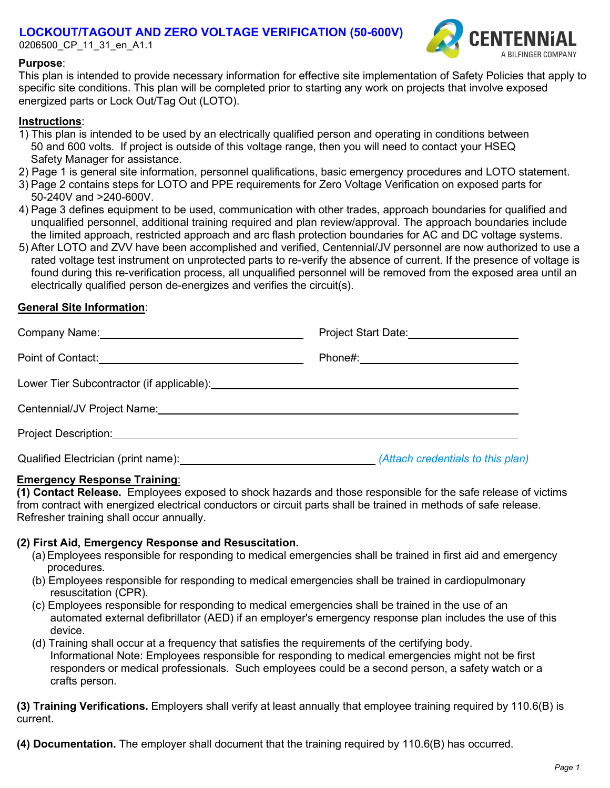# **LOCKOUT/TAGOUT AND ZERO VOLTAGE VERIFICATION (50-600V)**

0206500\_CP\_11\_31\_en\_A1.1



## **Purpose**:

This plan is intended to provide necessary information for effective site implementation of Safety Policies that apply to specific site conditions. This plan will be completed prior to starting any work on projects that involve exposed energized parts or Lock Out/Tag Out (LOTO).

## **Instructions**:

- 1) This plan is intended to be used by an electrically qualified person and operating in conditions between 50 and 600 volts. If project is outside of this voltage range, then you will need to contact your HSEQ Safety Manager for assistance.
- 2) Page 1 is general site information, personnel qualifications, basic emergency procedures and LOTO statement.
- 3) Page 2 contains steps for LOTO and PPE requirements for Zero Voltage Verification on exposed parts for 50-240V and >240-600V.
- 4) Page 3 defines equipment to be used, communication with other trades, approach boundaries for qualified and unqualified personnel, additional training required and plan review/approval. The approach boundaries include the limited approach, restricted approach and arc flash protection boundaries for AC and DC voltage systems.
- 5) After LOTO and ZVV have been accomplished and verified, Centennial/JV personnel are now authorized to use a rated voltage test instrument on unprotected parts to re-verify the absence of current. If the presence of voltage is found during this re-verification process, all unqualified personnel will be removed from the exposed area until an electrically qualified person de-energizes and verifies the circuit(s).

# **General Site Information**:

|                                                                                                                 | Project Start Date: 2000               |
|-----------------------------------------------------------------------------------------------------------------|----------------------------------------|
|                                                                                                                 | Phone#:_______________________________ |
|                                                                                                                 |                                        |
| Centennial/JV Project Name: Mannell Centennial Australian Centennial Australian Centennial Australian Centennia |                                        |
|                                                                                                                 |                                        |
| Qualified Electrician (print name): (Attach credentials to this plan)                                           |                                        |

## **Emergency Response Training**:

**(1) Contact Release.** Employees exposed to shock hazards and those responsible for the safe release of victims from contract with energized electrical conductors or circuit parts shall be trained in methods of safe release. Refresher training shall occur annually.

## **(2) First Aid, Emergency Response and Resuscitation.**

- (a) Employees responsible for responding to medical emergencies shall be trained in first aid and emergency procedures.
- (b) Employees responsible for responding to medical emergencies shall be trained in cardiopulmonary resuscitation (CPR).
- (c) Employees responsible for responding to medical emergencies shall be trained in the use of an automated external defibrillator (AED) if an employer's emergency response plan includes the use of this device.
- (d) Training shall occur at a frequency that satisfies the requirements of the certifying body. Informational Note: Employees responsible for responding to medical emergencies might not be first responders or medical professionals. Such employees could be a second person, a safety watch or a crafts person.

**(3) Training Verifications.** Employers shall verify at least annually that employee training required by 110.6(B) is current.

**(4) Documentation.** The employer shall document that the training required by 110.6(B) has occurred.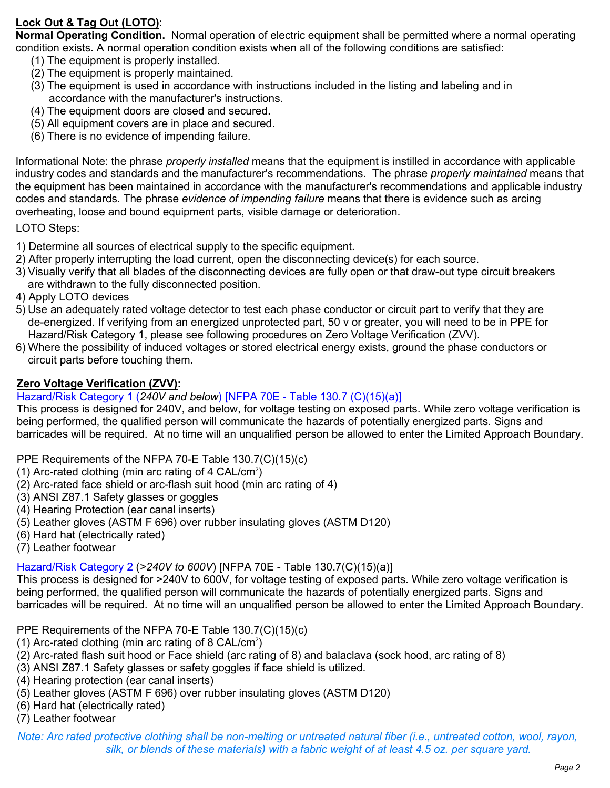# **Lock Out & Tag Out (LOTO)**:

**Normal Operating Condition.** Normal operation of electric equipment shall be permitted where a normal operating condition exists. A normal operation condition exists when all of the following conditions are satisfied:

- (1) The equipment is properly installed.
- (2) The equipment is properly maintained.
- (3) The equipment is used in accordance with instructions included in the listing and labeling and in accordance with the manufacturer's instructions.
- (4) The equipment doors are closed and secured.
- (5) All equipment covers are in place and secured.
- (6) There is no evidence of impending failure.

Informational Note: the phrase *properly installed* means that the equipment is instilled in accordance with applicable industry codes and standards and the manufacturer's recommendations. The phrase *properly maintained* means that the equipment has been maintained in accordance with the manufacturer's recommendations and applicable industry codes and standards. The phrase *evidence of impending failure* means that there is evidence such as arcing overheating, loose and bound equipment parts, visible damage or deterioration.

LOTO Steps:

- 1) Determine all sources of electrical supply to the specific equipment.
- 2) After properly interrupting the load current, open the disconnecting device(s) for each source.
- 3) Visually verify that all blades of the disconnecting devices are fully open or that draw-out type circuit breakers are withdrawn to the fully disconnected position.
- 4) Apply LOTO devices
- 5) Use an adequately rated voltage detector to test each phase conductor or circuit part to verify that they are de-energized. If verifying from an energized unprotected part, 50 v or greater, you will need to be in PPE for Hazard/Risk Category 1, please see following procedures on Zero Voltage Verification (ZVV).
- 6) Where the possibility of induced voltages or stored electrical energy exists, ground the phase conductors or circuit parts before touching them.

# **Zero Voltage Verification (ZVV):**

# Hazard/Risk Category 1 (*240V and below*) [NFPA 70E - Table 130.7 (C)(15)(a)]

This process is designed for 240V, and below, for voltage testing on exposed parts. While zero voltage verification is being performed, the qualified person will communicate the hazards of potentially energized parts. Signs and barricades will be required. At no time will an unqualified person be allowed to enter the Limited Approach Boundary.

PPE Requirements of the NFPA 70-E Table 130.7(C)(15)(c)

- (1) Arc-rated clothing (min arc rating of 4 CAL/cm<sup>2</sup>)
- (2) Arc-rated face shield or arc-flash suit hood (min arc rating of 4)
- (3) ANSI Z87.1 Safety glasses or goggles
- (4) Hearing Protection (ear canal inserts)
- (5) Leather gloves (ASTM F 696) over rubber insulating gloves (ASTM D120)
- (6) Hard hat (electrically rated)
- (7) Leather footwear

Hazard/Risk Category 2 (*>240V to 600V*) [NFPA 70E - Table 130.7(C)(15)(a)]

This process is designed for >240V to 600V, for voltage testing of exposed parts. While zero voltage verification is being performed, the qualified person will communicate the hazards of potentially energized parts. Signs and barricades will be required. At no time will an unqualified person be allowed to enter the Limited Approach Boundary.

PPE Requirements of the NFPA 70-E Table 130.7(C)(15)(c)

- (1) Arc-rated clothing (min arc rating of 8  $\mathsf{CAL/cm^2}$ )
- (2) Arc-rated flash suit hood or Face shield (arc rating of 8) and balaclava (sock hood, arc rating of 8)
- (3) ANSI Z87.1 Safety glasses or safety goggles if face shield is utilized.
- (4) Hearing protection (ear canal inserts)
- (5) Leather gloves (ASTM F 696) over rubber insulating gloves (ASTM D120)
- (6) Hard hat (electrically rated)
- (7) Leather footwear

Note: Arc rated protective clothing shall be non-melting or untreated natural fiber (i.e., untreated cotton, wool, rayon, *silk, or blends of these materials) with a fabric weight of at least 4.5 oz. per square yard.*